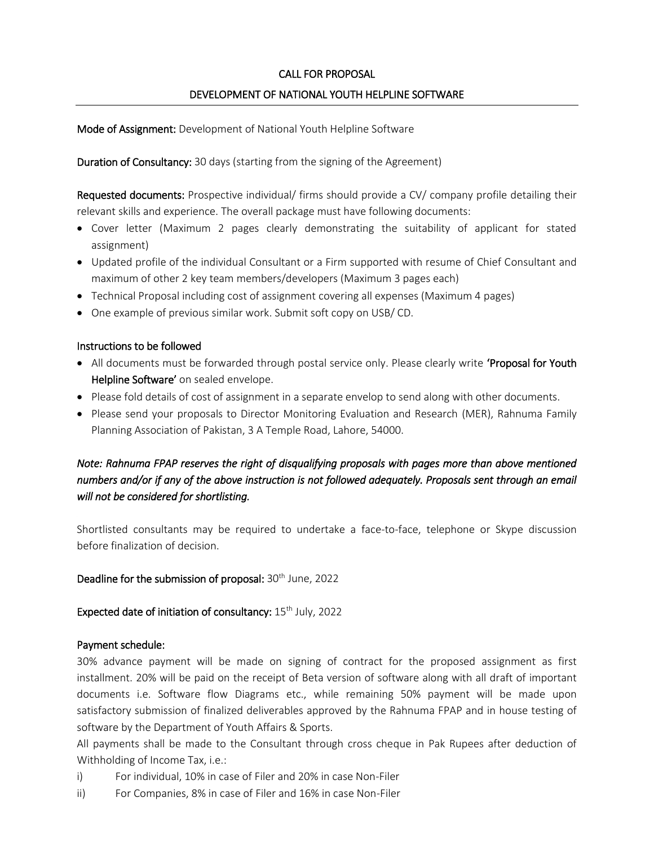## CALL FOR PROPOSAL

## DEVELOPMENT OF NATIONAL YOUTH HELPLINE SOFTWARE

Mode of Assignment: Development of National Youth Helpline Software

Duration of Consultancy: 30 days (starting from the signing of the Agreement)

Requested documents: Prospective individual/ firms should provide a CV/ company profile detailing their relevant skills and experience. The overall package must have following documents:

- Cover letter (Maximum 2 pages clearly demonstrating the suitability of applicant for stated assignment)
- Updated profile of the individual Consultant or a Firm supported with resume of Chief Consultant and maximum of other 2 key team members/developers (Maximum 3 pages each)
- Technical Proposal including cost of assignment covering all expenses (Maximum 4 pages)
- One example of previous similar work. Submit soft copy on USB/ CD.

#### Instructions to be followed

- All documents must be forwarded through postal service only. Please clearly write 'Proposal for Youth Helpline Software' on sealed envelope.
- Please fold details of cost of assignment in a separate envelop to send along with other documents.
- Please send your proposals to Director Monitoring Evaluation and Research (MER), Rahnuma Family Planning Association of Pakistan, 3 A Temple Road, Lahore, 54000.

# *Note: Rahnuma FPAP reserves the right of disqualifying proposals with pages more than above mentioned numbers and/or if any of the above instruction is not followed adequately. Proposals sent through an email will not be considered for shortlisting.*

Shortlisted consultants may be required to undertake a face-to-face, telephone or Skype discussion before finalization of decision.

Deadline for the submission of proposal: 30<sup>th</sup> June, 2022

Expected date of initiation of consultancy:  $15<sup>th</sup>$  July, 2022

#### Payment schedule:

30% advance payment will be made on signing of contract for the proposed assignment as first installment. 20% will be paid on the receipt of Beta version of software along with all draft of important documents i.e. Software flow Diagrams etc., while remaining 50% payment will be made upon satisfactory submission of finalized deliverables approved by the Rahnuma FPAP and in house testing of software by the Department of Youth Affairs & Sports.

All payments shall be made to the Consultant through cross cheque in Pak Rupees after deduction of Withholding of Income Tax, i.e.:

- i) For individual, 10% in case of Filer and 20% in case Non-Filer
- ii) For Companies, 8% in case of Filer and 16% in case Non-Filer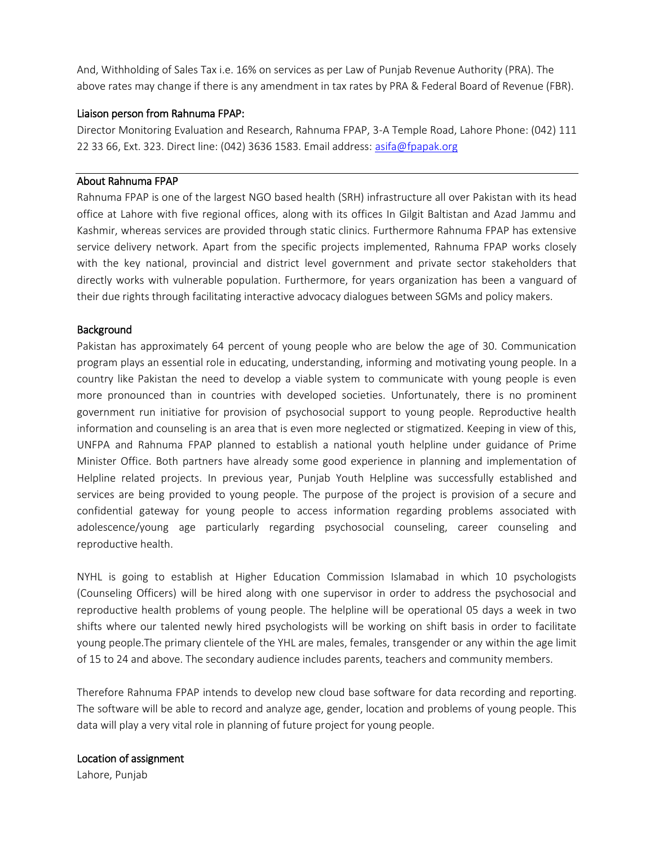And, Withholding of Sales Tax i.e. 16% on services as per Law of Punjab Revenue Authority (PRA). The above rates may change if there is any amendment in tax rates by PRA & Federal Board of Revenue (FBR).

#### Liaison person from Rahnuma FPAP:

Director Monitoring Evaluation and Research, Rahnuma FPAP, 3-A Temple Road, Lahore Phone: (042) 111 22 33 66, Ext. 323. Direct line: (042) 3636 1583. Email address: [asifa@fpapak.org](mailto:asifa@fpapak.org)

#### About Rahnuma FPAP

Rahnuma FPAP is one of the largest NGO based health (SRH) infrastructure all over Pakistan with its head office at Lahore with five regional offices, along with its offices In Gilgit Baltistan and Azad Jammu and Kashmir, whereas services are provided through static clinics. Furthermore Rahnuma FPAP has extensive service delivery network. Apart from the specific projects implemented, Rahnuma FPAP works closely with the key national, provincial and district level government and private sector stakeholders that directly works with vulnerable population. Furthermore, for years organization has been a vanguard of their due rights through facilitating interactive advocacy dialogues between SGMs and policy makers.

#### **Background**

Pakistan has approximately 64 percent of young people who are below the age of 30. Communication program plays an essential role in educating, understanding, informing and motivating young people. In a country like Pakistan the need to develop a viable system to communicate with young people is even more pronounced than in countries with developed societies. Unfortunately, there is no prominent government run initiative for provision of psychosocial support to young people. Reproductive health information and counseling is an area that is even more neglected or stigmatized. Keeping in view of this, UNFPA and Rahnuma FPAP planned to establish a national youth helpline under guidance of Prime Minister Office. Both partners have already some good experience in planning and implementation of Helpline related projects. In previous year, Punjab Youth Helpline was successfully established and services are being provided to young people. The purpose of the project is provision of a secure and confidential gateway for young people to access information regarding problems associated with adolescence/young age particularly regarding psychosocial counseling, career counseling and reproductive health.

NYHL is going to establish at Higher Education Commission Islamabad in which 10 psychologists (Counseling Officers) will be hired along with one supervisor in order to address the psychosocial and reproductive health problems of young people. The helpline will be operational 05 days a week in two shifts where our talented newly hired psychologists will be working on shift basis in order to facilitate young people.The primary clientele of the YHL are males, females, transgender or any within the age limit of 15 to 24 and above. The secondary audience includes parents, teachers and community members.

Therefore Rahnuma FPAP intends to develop new cloud base software for data recording and reporting. The software will be able to record and analyze age, gender, location and problems of young people. This data will play a very vital role in planning of future project for young people.

#### Location of assignment

Lahore, Punjab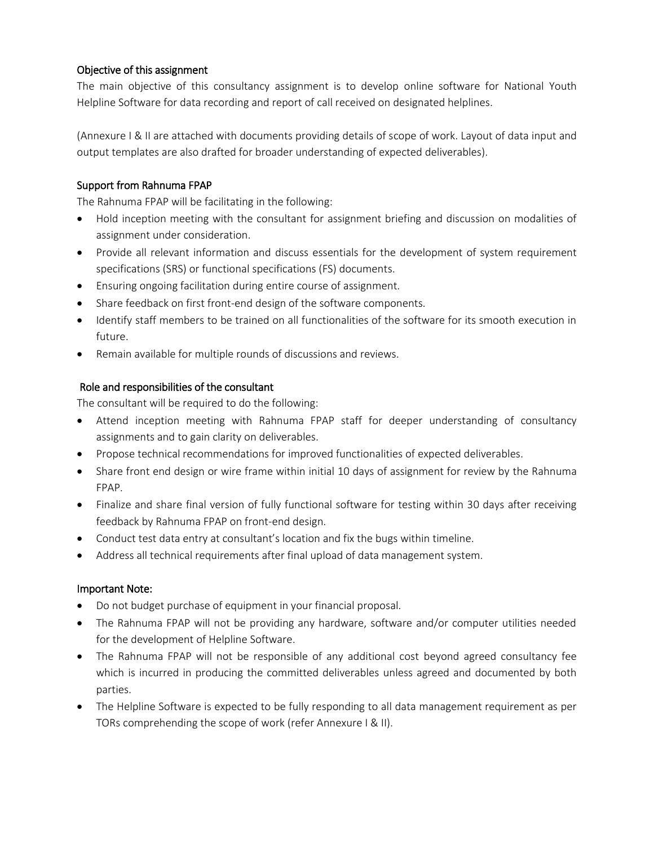## Objective of this assignment

The main objective of this consultancy assignment is to develop online software for National Youth Helpline Software for data recording and report of call received on designated helplines.

(Annexure I & II are attached with documents providing details of scope of work. Layout of data input and output templates are also drafted for broader understanding of expected deliverables).

## Support from Rahnuma FPAP

The Rahnuma FPAP will be facilitating in the following:

- Hold inception meeting with the consultant for assignment briefing and discussion on modalities of assignment under consideration.
- Provide all relevant information and discuss essentials for the development of system requirement specifications (SRS) or functional specifications (FS) documents.
- Ensuring ongoing facilitation during entire course of assignment.
- Share feedback on first front-end design of the software components.
- Identify staff members to be trained on all functionalities of the software for its smooth execution in future.
- Remain available for multiple rounds of discussions and reviews.

### Role and responsibilities of the consultant

The consultant will be required to do the following:

- Attend inception meeting with Rahnuma FPAP staff for deeper understanding of consultancy assignments and to gain clarity on deliverables.
- Propose technical recommendations for improved functionalities of expected deliverables.
- Share front end design or wire frame within initial 10 days of assignment for review by the Rahnuma FPAP.
- Finalize and share final version of fully functional software for testing within 30 days after receiving feedback by Rahnuma FPAP on front-end design.
- Conduct test data entry at consultant's location and fix the bugs within timeline.
- Address all technical requirements after final upload of data management system.

#### Important Note:

- Do not budget purchase of equipment in your financial proposal.
- The Rahnuma FPAP will not be providing any hardware, software and/or computer utilities needed for the development of Helpline Software.
- The Rahnuma FPAP will not be responsible of any additional cost beyond agreed consultancy fee which is incurred in producing the committed deliverables unless agreed and documented by both parties.
- The Helpline Software is expected to be fully responding to all data management requirement as per TORs comprehending the scope of work (refer Annexure I & II).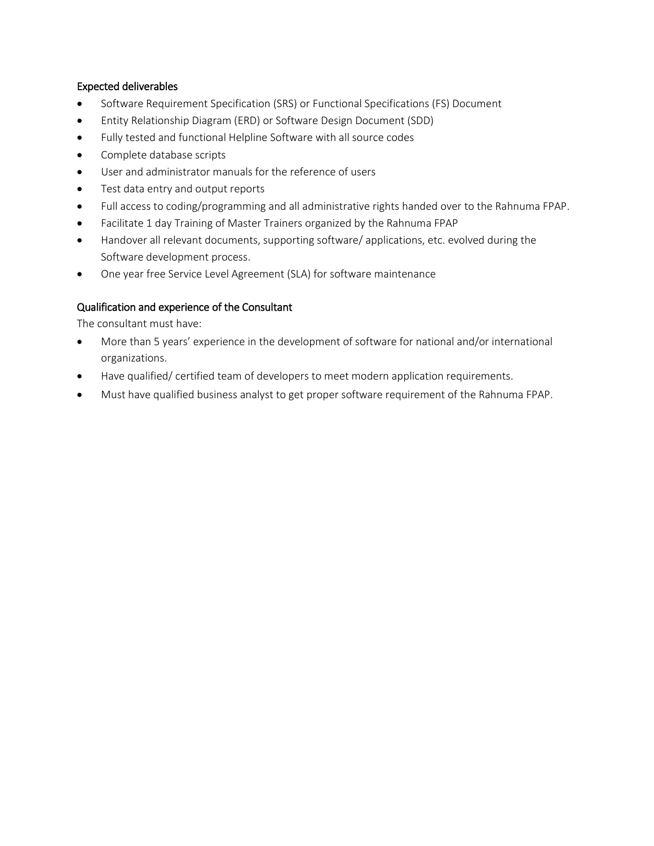### Expected deliverables

- Software Requirement Specification (SRS) or Functional Specifications (FS) Document
- Entity Relationship Diagram (ERD) or Software Design Document (SDD)
- Fully tested and functional Helpline Software with all source codes
- Complete database scripts
- User and administrator manuals for the reference of users
- Test data entry and output reports
- Full access to coding/programming and all administrative rights handed over to the Rahnuma FPAP.
- Facilitate 1 day Training of Master Trainers organized by the Rahnuma FPAP
- Handover all relevant documents, supporting software/ applications, etc. evolved during the Software development process.
- One year free Service Level Agreement (SLA) for software maintenance

## Qualification and experience of the Consultant

The consultant must have:

- More than 5 years' experience in the development of software for national and/or international organizations.
- Have qualified/ certified team of developers to meet modern application requirements.
- Must have qualified business analyst to get proper software requirement of the Rahnuma FPAP.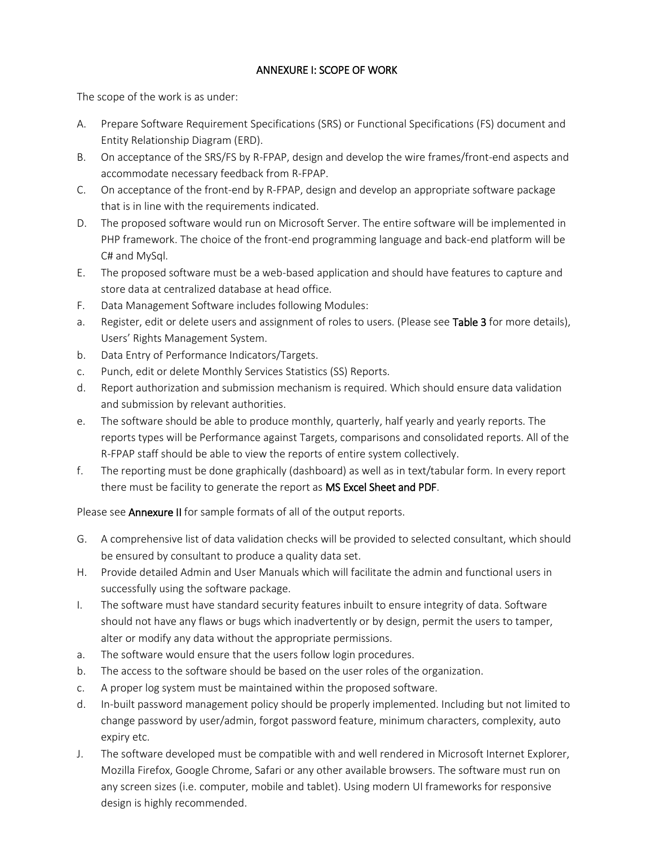## ANNEXURE I: SCOPE OF WORK

The scope of the work is as under:

- A. Prepare Software Requirement Specifications (SRS) or Functional Specifications (FS) document and Entity Relationship Diagram (ERD).
- B. On acceptance of the SRS/FS by R-FPAP, design and develop the wire frames/front-end aspects and accommodate necessary feedback from R-FPAP.
- C. On acceptance of the front-end by R-FPAP, design and develop an appropriate software package that is in line with the requirements indicated.
- D. The proposed software would run on Microsoft Server. The entire software will be implemented in PHP framework. The choice of the front-end programming language and back-end platform will be C# and MySql.
- E. The proposed software must be a web-based application and should have features to capture and store data at centralized database at head office.
- F. Data Management Software includes following Modules:
- a. Register, edit or delete users and assignment of roles to users. (Please see Table 3 for more details), Users' Rights Management System.
- b. Data Entry of Performance Indicators/Targets.
- c. Punch, edit or delete Monthly Services Statistics (SS) Reports.
- d. Report authorization and submission mechanism is required. Which should ensure data validation and submission by relevant authorities.
- e. The software should be able to produce monthly, quarterly, half yearly and yearly reports. The reports types will be Performance against Targets, comparisons and consolidated reports. All of the R-FPAP staff should be able to view the reports of entire system collectively.
- f. The reporting must be done graphically (dashboard) as well as in text/tabular form. In every report there must be facility to generate the report as MS Excel Sheet and PDF.

Please see **Annexure II** for sample formats of all of the output reports.

- G. A comprehensive list of data validation checks will be provided to selected consultant, which should be ensured by consultant to produce a quality data set.
- H. Provide detailed Admin and User Manuals which will facilitate the admin and functional users in successfully using the software package.
- I. The software must have standard security features inbuilt to ensure integrity of data. Software should not have any flaws or bugs which inadvertently or by design, permit the users to tamper, alter or modify any data without the appropriate permissions.
- a. The software would ensure that the users follow login procedures.
- b. The access to the software should be based on the user roles of the organization.
- c. A proper log system must be maintained within the proposed software.
- d. In-built password management policy should be properly implemented. Including but not limited to change password by user/admin, forgot password feature, minimum characters, complexity, auto expiry etc.
- J. The software developed must be compatible with and well rendered in Microsoft Internet Explorer, Mozilla Firefox, Google Chrome, Safari or any other available browsers. The software must run on any screen sizes (i.e. computer, mobile and tablet). Using modern UI frameworks for responsive design is highly recommended.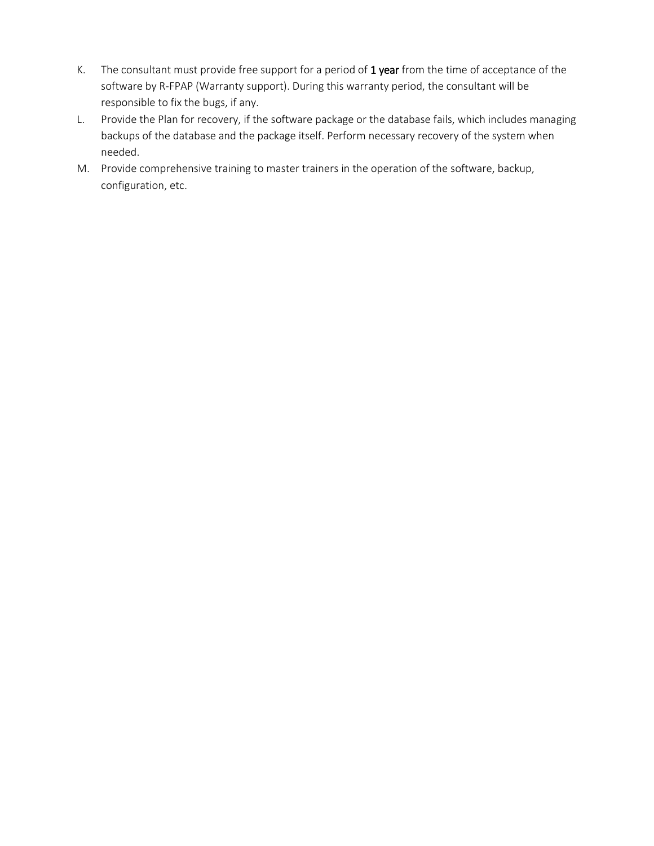- K. The consultant must provide free support for a period of  $1$  year from the time of acceptance of the software by R-FPAP (Warranty support). During this warranty period, the consultant will be responsible to fix the bugs, if any.
- L. Provide the Plan for recovery, if the software package or the database fails, which includes managing backups of the database and the package itself. Perform necessary recovery of the system when needed.
- M. Provide comprehensive training to master trainers in the operation of the software, backup, configuration, etc.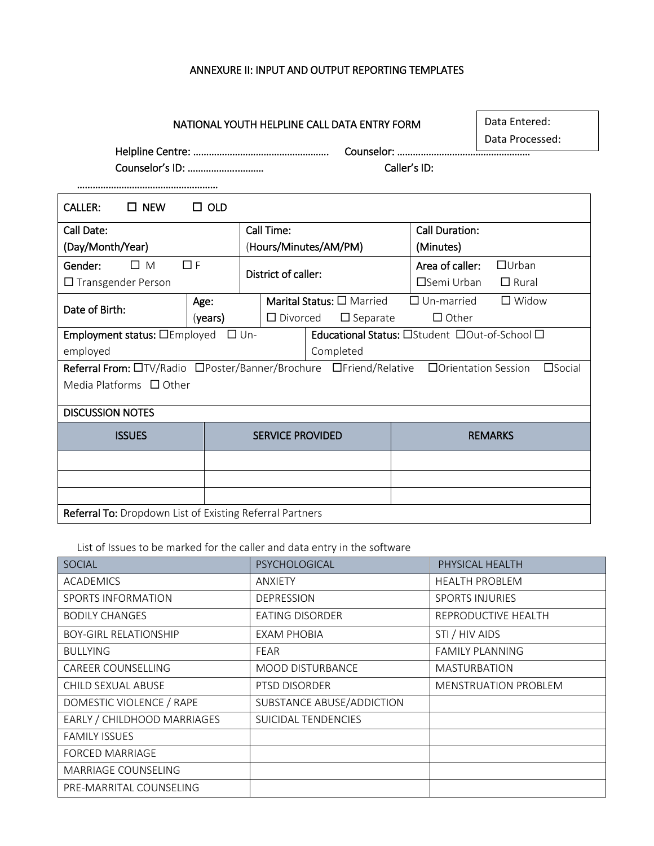## ANNEXURE II: INPUT AND OUTPUT REPORTING TEMPLATES

Helpline Centre: ……………………………………………. Counselor: ……………………………………………

Data Entered: Data Processed:

Counselor's ID: ………………..……… Caller's ID:

………………………………………………

| $\square$ NEW<br><b>CALLER:</b>                                   | $\Box$ OLD                                                      |                         |                                                  |                       |                  |  |  |  |  |  |  |  |
|-------------------------------------------------------------------|-----------------------------------------------------------------|-------------------------|--------------------------------------------------|-----------------------|------------------|--|--|--|--|--|--|--|
| Call Date:                                                        |                                                                 | Call Time:              |                                                  | <b>Call Duration:</b> |                  |  |  |  |  |  |  |  |
| (Day/Month/Year)                                                  |                                                                 |                         | (Hours/Minutes/AM/PM)                            | (Minutes)             |                  |  |  |  |  |  |  |  |
| Gender:<br>ΠМ                                                     | $\Box$ F                                                        |                         |                                                  | Area of caller:       | $\Box$ Urban     |  |  |  |  |  |  |  |
| $\Box$ Transgender Person                                         |                                                                 | District of caller:     |                                                  | $\square$ Semi Urban  | $\Box$ Rural     |  |  |  |  |  |  |  |
|                                                                   | Age:                                                            |                         | <b>Marital Status: <math>\Box</math></b> Married | $\Box$ Un-married     | $\square$ Widow  |  |  |  |  |  |  |  |
| Date of Birth:                                                    | (years)                                                         | $\Box$ Divorced         | $\Box$ Separate                                  | $\Box$ Other          |                  |  |  |  |  |  |  |  |
| Employment status: <b>DEmployed</b>                               |                                                                 | $\Box$ Un-              | Educational Status: OStudent DOut-of-School O    |                       |                  |  |  |  |  |  |  |  |
| employed                                                          |                                                                 |                         | Completed                                        |                       |                  |  |  |  |  |  |  |  |
| Referral From: OTV/Radio OPoster/Banner/Brochure OFriend/Relative |                                                                 |                         |                                                  | □ Orientation Session | $\square$ Social |  |  |  |  |  |  |  |
| Media Platforms $\Box$ Other                                      |                                                                 |                         |                                                  |                       |                  |  |  |  |  |  |  |  |
| <b>DISCUSSION NOTES</b>                                           |                                                                 |                         |                                                  |                       |                  |  |  |  |  |  |  |  |
| <b>ISSUES</b>                                                     |                                                                 | <b>SERVICE PROVIDED</b> |                                                  | <b>REMARKS</b>        |                  |  |  |  |  |  |  |  |
|                                                                   |                                                                 |                         |                                                  |                       |                  |  |  |  |  |  |  |  |
|                                                                   |                                                                 |                         |                                                  |                       |                  |  |  |  |  |  |  |  |
|                                                                   |                                                                 |                         |                                                  |                       |                  |  |  |  |  |  |  |  |
|                                                                   | <b>Referral To:</b> Dropdown List of Existing Referral Partners |                         |                                                  |                       |                  |  |  |  |  |  |  |  |

List of Issues to be marked for the caller and data entry in the software

| <b>SOCIAL</b>                | PSYCHOLOGICAL             | PHYSICAL HEALTH             |
|------------------------------|---------------------------|-----------------------------|
| <b>ACADEMICS</b>             | <b>ANXIETY</b>            | <b>HEALTH PROBLEM</b>       |
| SPORTS INFORMATION           | <b>DEPRESSION</b>         | <b>SPORTS INJURIES</b>      |
| <b>BODILY CHANGES</b>        | <b>EATING DISORDER</b>    | REPRODUCTIVE HEALTH         |
| <b>BOY-GIRL RELATIONSHIP</b> | EXAM PHOBIA               | STI / HIV AIDS              |
| <b>BULLYING</b>              | FEAR                      | <b>FAMILY PLANNING</b>      |
| <b>CAREER COUNSELLING</b>    | <b>MOOD DISTURBANCE</b>   | <b>MASTURBATION</b>         |
| CHILD SEXUAL ABUSE           | PTSD DISORDER             | <b>MENSTRUATION PROBLEM</b> |
| DOMESTIC VIOLENCE / RAPE     | SUBSTANCE ABUSE/ADDICTION |                             |
| EARLY / CHILDHOOD MARRIAGES  | SUICIDAL TENDENCIES       |                             |
| <b>FAMILY ISSUES</b>         |                           |                             |
| <b>FORCED MARRIAGE</b>       |                           |                             |
| <b>MARRIAGE COUNSELING</b>   |                           |                             |
| PRE-MARRITAL COUNSELING      |                           |                             |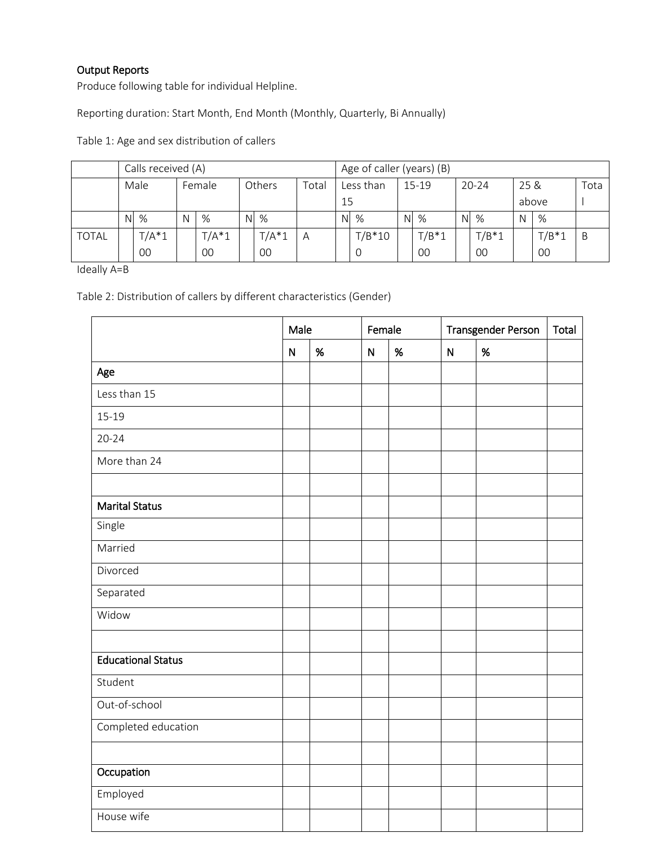## Output Reports

Produce following table for individual Helpline.

Reporting duration: Start Month, End Month (Monthly, Quarterly, Bi Annually)

|              | Calls received (A) |          |        |          |       |           |   |           | Age of caller (years) (B) |           |         |      |         |      |         |   |  |  |
|--------------|--------------------|----------|--------|----------|-------|-----------|---|-----------|---------------------------|-----------|---------|------|---------|------|---------|---|--|--|
|              | Male<br>Female     |          | Others |          | Total | Less than |   | $15 - 19$ |                           | $20 - 24$ |         | 25 & |         | Tota |         |   |  |  |
|              |                    |          |        | 15       |       |           |   |           |                           |           | above   |      |         |      |         |   |  |  |
|              | N.                 | %        | N      | %        | N     | %         |   | N.        | %                         | N.        | $\%$    |      | $N \%$  | N    | %       |   |  |  |
| <b>TOTAL</b> |                    | $T/A^*1$ |        | $T/A^*1$ |       | $T/A^*1$  | A |           | $T/B*10$                  |           | $T/B*1$ |      | $T/B*1$ |      | $T/B*1$ | B |  |  |
|              |                    | 00       |        | 00       |       | 00        |   |           |                           |           | 00      |      | $00 \,$ |      | 00      |   |  |  |

Table 1: Age and sex distribution of callers

Ideally A=B

Table 2: Distribution of callers by different characteristics (Gender)

|                           | Male         |      | Female    |      | <b>Transgender Person</b> | Total |  |
|---------------------------|--------------|------|-----------|------|---------------------------|-------|--|
|                           | $\mathsf{N}$ | $\%$ | ${\sf N}$ | $\%$ | $\overline{N}$            | %     |  |
| Age                       |              |      |           |      |                           |       |  |
| Less than 15              |              |      |           |      |                           |       |  |
| $15-19$                   |              |      |           |      |                           |       |  |
| $20 - 24$                 |              |      |           |      |                           |       |  |
| More than 24              |              |      |           |      |                           |       |  |
|                           |              |      |           |      |                           |       |  |
| <b>Marital Status</b>     |              |      |           |      |                           |       |  |
| Single                    |              |      |           |      |                           |       |  |
| Married                   |              |      |           |      |                           |       |  |
| Divorced                  |              |      |           |      |                           |       |  |
| Separated                 |              |      |           |      |                           |       |  |
| Widow                     |              |      |           |      |                           |       |  |
|                           |              |      |           |      |                           |       |  |
| <b>Educational Status</b> |              |      |           |      |                           |       |  |
| Student                   |              |      |           |      |                           |       |  |
| Out-of-school             |              |      |           |      |                           |       |  |
| Completed education       |              |      |           |      |                           |       |  |
|                           |              |      |           |      |                           |       |  |
| Occupation                |              |      |           |      |                           |       |  |
| Employed                  |              |      |           |      |                           |       |  |
| House wife                |              |      |           |      |                           |       |  |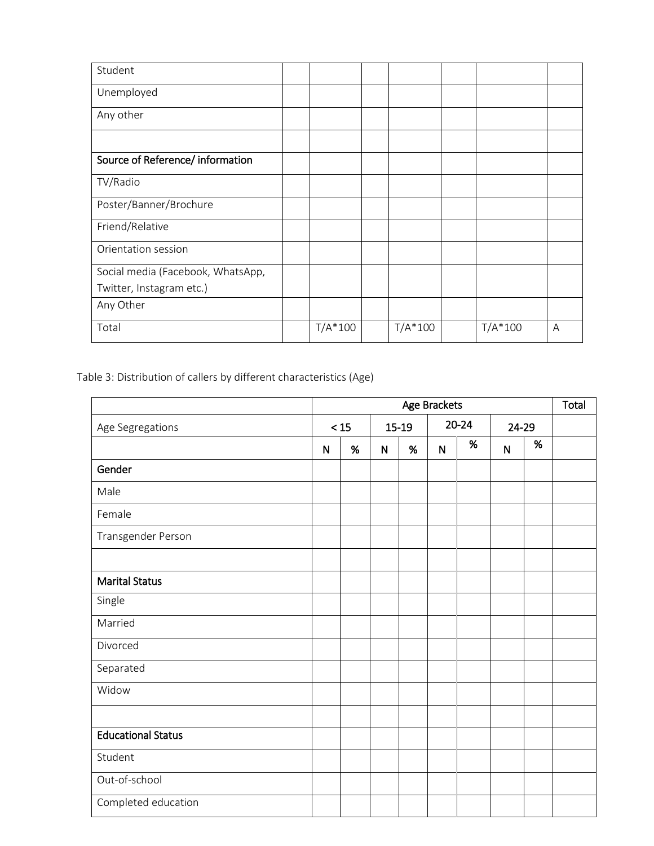| Student                           |           |           |           |   |
|-----------------------------------|-----------|-----------|-----------|---|
| Unemployed                        |           |           |           |   |
| Any other                         |           |           |           |   |
|                                   |           |           |           |   |
| Source of Reference/ information  |           |           |           |   |
| TV/Radio                          |           |           |           |   |
| Poster/Banner/Brochure            |           |           |           |   |
| Friend/Relative                   |           |           |           |   |
| Orientation session               |           |           |           |   |
| Social media (Facebook, WhatsApp, |           |           |           |   |
| Twitter, Instagram etc.)          |           |           |           |   |
| Any Other                         |           |           |           |   |
| Total                             | $T/A*100$ | $T/A*100$ | $T/A*100$ | A |

Table 3: Distribution of callers by different characteristics (Age)

|                           | Age Brackets |       |              |       |              |           |              |      |  |  |  |
|---------------------------|--------------|-------|--------------|-------|--------------|-----------|--------------|------|--|--|--|
| Age Segregations          |              | $<15$ |              | 15-19 |              | $20 - 24$ | 24-29        |      |  |  |  |
|                           | $\mathsf{N}$ | $\%$  | $\mathsf{N}$ | $\%$  | $\mathsf{N}$ | $\%$      | $\mathsf{N}$ | $\%$ |  |  |  |
| Gender                    |              |       |              |       |              |           |              |      |  |  |  |
| Male                      |              |       |              |       |              |           |              |      |  |  |  |
| Female                    |              |       |              |       |              |           |              |      |  |  |  |
| Transgender Person        |              |       |              |       |              |           |              |      |  |  |  |
|                           |              |       |              |       |              |           |              |      |  |  |  |
| <b>Marital Status</b>     |              |       |              |       |              |           |              |      |  |  |  |
| Single                    |              |       |              |       |              |           |              |      |  |  |  |
| Married                   |              |       |              |       |              |           |              |      |  |  |  |
| Divorced                  |              |       |              |       |              |           |              |      |  |  |  |
| Separated                 |              |       |              |       |              |           |              |      |  |  |  |
| Widow                     |              |       |              |       |              |           |              |      |  |  |  |
|                           |              |       |              |       |              |           |              |      |  |  |  |
| <b>Educational Status</b> |              |       |              |       |              |           |              |      |  |  |  |
| Student                   |              |       |              |       |              |           |              |      |  |  |  |
| Out-of-school             |              |       |              |       |              |           |              |      |  |  |  |
| Completed education       |              |       |              |       |              |           |              |      |  |  |  |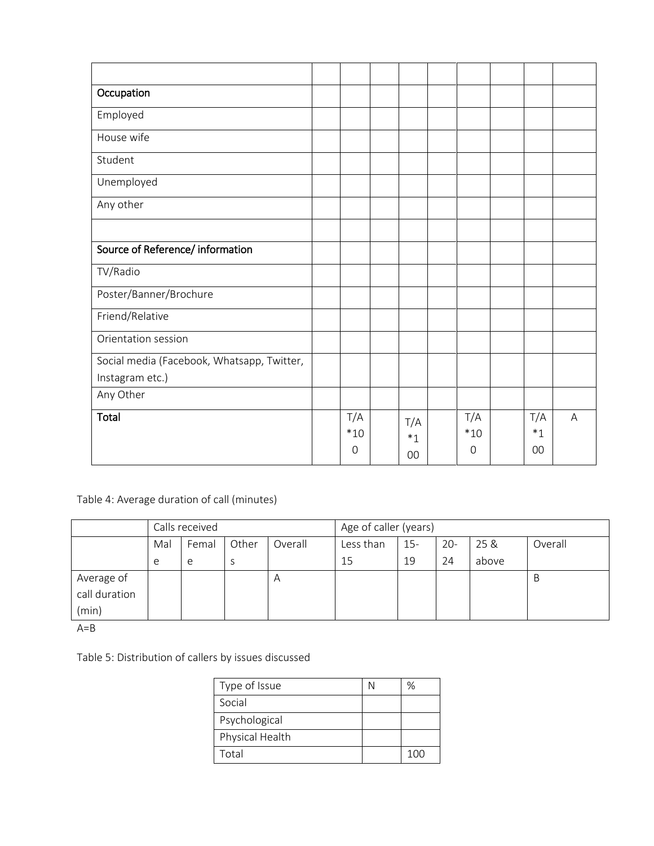| Occupation                                 |       |         |             |         |   |
|--------------------------------------------|-------|---------|-------------|---------|---|
| Employed                                   |       |         |             |         |   |
| House wife                                 |       |         |             |         |   |
| Student                                    |       |         |             |         |   |
| Unemployed                                 |       |         |             |         |   |
| Any other                                  |       |         |             |         |   |
|                                            |       |         |             |         |   |
| Source of Reference/ information           |       |         |             |         |   |
| TV/Radio                                   |       |         |             |         |   |
| Poster/Banner/Brochure                     |       |         |             |         |   |
| Friend/Relative                            |       |         |             |         |   |
| Orientation session                        |       |         |             |         |   |
| Social media (Facebook, Whatsapp, Twitter, |       |         |             |         |   |
| Instagram etc.)                            |       |         |             |         |   |
| Any Other                                  |       |         |             |         |   |
| Total                                      | T/A   | T/A     | T/A         | T/A     | A |
|                                            | $*10$ | $*_{1}$ | $*10$       | $*_{1}$ |   |
|                                            | 0     | 00      | $\mathbf 0$ | 00      |   |

Table 4: Average duration of call (minutes)

|               |     | Calls received |       |                | Age of caller (years) |       |        |       |         |  |  |  |
|---------------|-----|----------------|-------|----------------|-----------------------|-------|--------|-------|---------|--|--|--|
|               | Mal | Femal          | Other | Overall        | Less than             | $15-$ | $20 -$ | 25 &  | Overall |  |  |  |
|               | e   | e              | S     |                | 15                    | 19    | 24     | above |         |  |  |  |
| Average of    |     |                |       | $\overline{A}$ |                       |       |        |       | B       |  |  |  |
| call duration |     |                |       |                |                       |       |        |       |         |  |  |  |
| (min)         |     |                |       |                |                       |       |        |       |         |  |  |  |

 $A=B$ 

Table 5: Distribution of callers by issues discussed

| Type of Issue   | %   |
|-----------------|-----|
| Social          |     |
| Psychological   |     |
| Physical Health |     |
| Total           | 100 |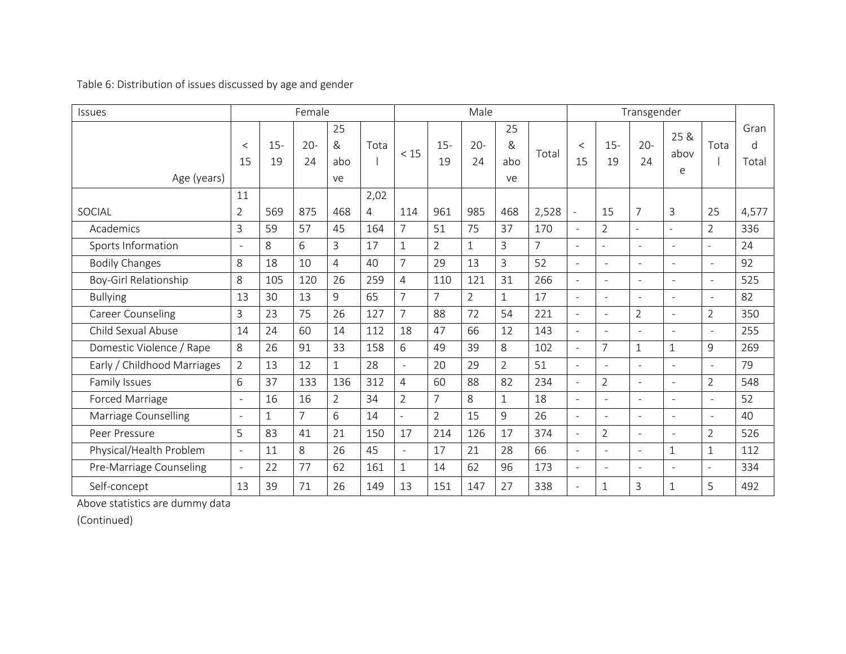Table 6: Distribution of issues discussed by age and gender

| <b>Issues</b>               |                          |              | Female       |                      |      |                |                | Male           |                      |                | Transgender              |                     |                          |                            |                          |                               |
|-----------------------------|--------------------------|--------------|--------------|----------------------|------|----------------|----------------|----------------|----------------------|----------------|--------------------------|---------------------|--------------------------|----------------------------|--------------------------|-------------------------------|
| Age (years)                 | $\lt$<br>15              | $15 -$<br>19 | $20 -$<br>24 | 25<br>&<br>abo<br>ve | Tota | < 15           | $15 -$<br>19   | $20 -$<br>24   | 25<br>&<br>abo<br>ve | Total          | $\lt$<br>15              | $15-$<br>19         | $20 -$<br>24             | 25 &<br>abov<br>$\epsilon$ | Tota                     | Gran<br>$\mathsf{d}$<br>Total |
|                             | 11                       |              |              |                      | 2,02 |                |                |                |                      |                |                          |                     |                          |                            |                          |                               |
| SOCIAL                      | $\overline{2}$           | 569          | 875          | 468                  | 4    | 114            | 961            | 985            | 468                  | 2,528          | $\ddot{\phantom{a}}$     | 15                  | $\overline{7}$           | $\mathsf{3}$               | 25                       | 4,577                         |
| Academics                   | 3                        | 59           | 57           | 45                   | 164  | $\overline{7}$ | 51             | 75             | 37                   | 170            | $\sim$                   | $\overline{2}$      | $\overline{a}$           | $\sim$                     | $\overline{2}$           | 336                           |
| Sports Information          | $\omega$                 | 8            | 6            | 3                    | 17   | $\mathbf{1}$   | $\overline{2}$ | $\mathbf{1}$   | 3                    | $\overline{7}$ | $\sim$                   | $\sim$              | $\overline{a}$           | $\sim$                     | $\equiv$                 | 24                            |
| <b>Bodily Changes</b>       | 8                        | 18           | 10           | $\overline{4}$       | 40   | $\overline{7}$ | 29             | 13             | 3                    | 52             | $\sim$                   | $\sim$              | $\sim$                   | $\sim$                     | $\sim$                   | 92                            |
| Boy-Girl Relationship       | 8                        | 105          | 120          | 26                   | 259  | $\overline{4}$ | 110            | 121            | 31                   | 266            | $\sim$                   | $\sim$              | $\overline{\phantom{a}}$ | $\overline{\phantom{a}}$   | ÷.                       | 525                           |
| <b>Bullying</b>             | 13                       | 30           | 13           | 9                    | 65   | $\overline{7}$ | $\overline{7}$ | $\overline{2}$ | $\mathbf{1}$         | 17             | $\sim$                   | $\sim$              | $\overline{\phantom{a}}$ | $\overline{\phantom{a}}$   | $\sim$                   | 82                            |
| Career Counseling           | 3                        | 23           | 75           | 26                   | 127  | $\overline{7}$ | 88             | 72             | 54                   | 221            | $\sim$                   | $\bar{\phantom{a}}$ | $\overline{2}$           | $\bar{\phantom{a}}$        | $\overline{2}$           | 350                           |
| Child Sexual Abuse          | 14                       | 24           | 60           | 14                   | 112  | 18             | 47             | 66             | 12                   | 143            | $\sim$                   | $\overline{a}$      | $\sim$                   | $\sim$                     | $\sim$                   | 255                           |
| Domestic Violence / Rape    | 8                        | 26           | 91           | 33                   | 158  | 6              | 49             | 39             | 8                    | 102            | $\omega$                 | $\overline{7}$      | $\mathbf{1}$             | $1\,$                      | 9                        | 269                           |
| Early / Childhood Marriages | $\overline{2}$           | 13           | 12           | $\mathbf{1}$         | 28   | $\sim$         | 20             | 29             | $\overline{2}$       | 51             | $\sim$                   | $\overline{a}$      | $\overline{a}$           | $\overline{a}$             | ÷.                       | 79                            |
| Family Issues               | 6                        | 37           | 133          | 136                  | 312  | $\overline{4}$ | 60             | 88             | 82                   | 234            | $\sim$                   | $\overline{2}$      | $\overline{a}$           | $\overline{a}$             | $\overline{2}$           | 548                           |
| Forced Marriage             | $\overline{\phantom{a}}$ | 16           | 16           | $\overline{2}$       | 34   | $\overline{2}$ | $\overline{7}$ | 8              | $\mathbf{1}$         | 18             | $\sim$                   | $\equiv$            | ÷.                       | $\sim$                     | $\sim$                   | 52                            |
| Marriage Counselling        | $\overline{\phantom{a}}$ | $\mathbf{1}$ | 7            | 6                    | 14   | $\sim$         | $\overline{2}$ | 15             | 9                    | 26             | $\sim$                   | $\sim$              | $\sim$                   | $\sim$                     | $\overline{\phantom{a}}$ | 40                            |
| Peer Pressure               | 5                        | 83           | 41           | 21                   | 150  | 17             | 214            | 126            | 17                   | 374            | $\sim$                   | $\overline{2}$      | $\overline{a}$           | $\sim$                     | $\overline{2}$           | 526                           |
| Physical/Health Problem     | $\sim$                   | 11           | 8            | 26                   | 45   | $\sim$         | 17             | 21             | 28                   | 66             | $\sim$                   | $\overline{a}$      | ÷.                       | $\mathbf{1}$               | $\mathbf{1}$             | 112                           |
| Pre-Marriage Counseling     | $\omega$                 | 22           | 77           | 62                   | 161  | $\mathbf{1}$   | 14             | 62             | 96                   | 173            | $\overline{\phantom{a}}$ | $\sim$              | $\overline{a}$           | $\sim$                     | $\overline{a}$           | 334                           |
| Self-concept                | 13                       | 39           | 71           | 26                   | 149  | 13             | 151            | 147            | 27                   | 338            | $\sim$                   | $\mathbf{1}$        | 3                        | $\mathbf{1}$               | 5                        | 492                           |

Above statistics are dummy data

(Continued)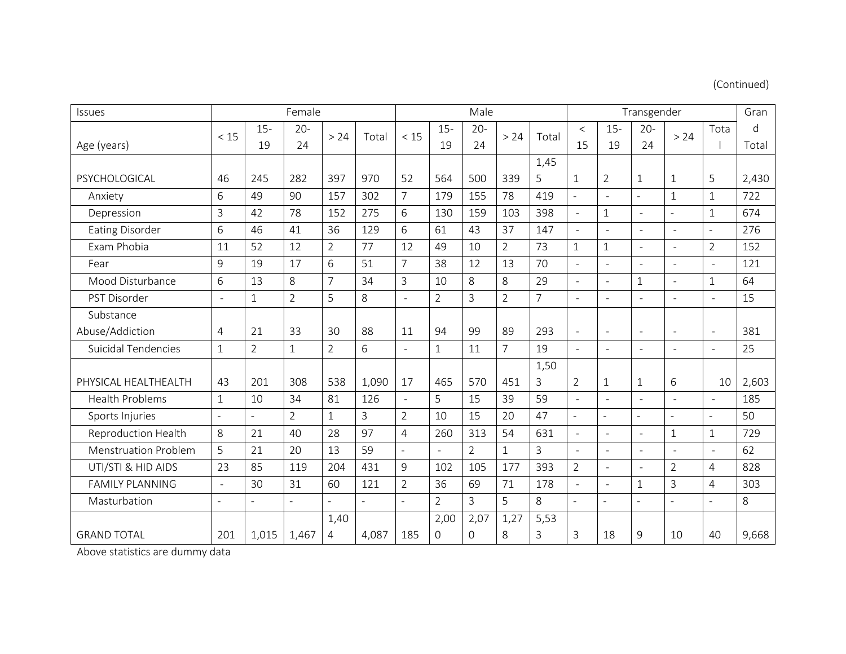# (Continued)

| Issues                      |                          |                | Female         |                |       |                     |                          | Male           |                |                |                          | Gran                     |                          |                          |                |              |
|-----------------------------|--------------------------|----------------|----------------|----------------|-------|---------------------|--------------------------|----------------|----------------|----------------|--------------------------|--------------------------|--------------------------|--------------------------|----------------|--------------|
|                             | < 15                     | $15 -$         | $20 -$         | >24            | Total | < 15                | $15 -$                   | $20 -$         | >24            | Total          | $\lt$                    | $15 -$                   | $20 -$                   | > 24                     | Tota           | $\mathsf{d}$ |
| Age (years)                 |                          | 19             | 24             |                |       |                     | 19                       | 24             |                |                | 15                       | 19                       | 24                       |                          |                | Total        |
|                             |                          |                |                |                |       |                     |                          |                |                | 1,45           |                          |                          |                          |                          |                |              |
| PSYCHOLOGICAL               | 46                       | 245            | 282            | 397            | 970   | 52                  | 564                      | 500            | 339            | 5              | $\mathbf{1}$             | $\overline{2}$           | $\mathbf{1}$             | $1\,$                    | 5              | 2,430        |
| Anxiety                     | 6                        | 49             | 90             | 157            | 302   | $\overline{7}$      | 179                      | 155            | 78             | 419            | $\overline{a}$           | $\overline{a}$           | $\overline{a}$           | $1\,$                    | $\mathbf{1}$   | 722          |
| Depression                  | 3                        | 42             | 78             | 152            | 275   | 6                   | 130                      | 159            | 103            | 398            | $\omega$                 | $\mathbf{1}$             | ÷,                       | $\sim$                   | 1              | 674          |
| <b>Eating Disorder</b>      | 6                        | 46             | 41             | 36             | 129   | 6                   | 61                       | 43             | 37             | 147            | $\omega$                 | $\overline{\phantom{a}}$ | $\overline{\phantom{a}}$ | $\blacksquare$           | ÷.             | 276          |
| Exam Phobia                 | 11                       | 52             | 12             | $\overline{2}$ | 77    | 12                  | 49                       | 10             | $\overline{2}$ | 73             | $\mathbf{1}$             | $\mathbf{1}$             | $\bar{a}$                | $\overline{\phantom{a}}$ | $\overline{2}$ | 152          |
| Fear                        | 9                        | 19             | 17             | 6              | 51    | $\overline{7}$      | 38                       | 12             | 13             | 70             | $\equiv$                 | $\sim$                   | $\bar{a}$                | $\blacksquare$           | $\equiv$       | 121          |
| Mood Disturbance            | 6                        | 13             | 8              | $\overline{7}$ | 34    | 3                   | 10                       | 8              | 8              | 29             | $\overline{a}$           | $\sim$                   | $1\,$                    | $\sim$                   | $\mathbf 1$    | 64           |
| PST Disorder                | $\overline{\phantom{a}}$ | $\mathbf{1}$   | $\overline{2}$ | 5              | 8     | $\overline{a}$      | $\overline{2}$           | $\overline{3}$ | $\overline{2}$ | $\overline{7}$ | $\overline{a}$           | $\overline{a}$           | $\overline{a}$           | $\sim$                   | ÷,             | 15           |
| Substance                   |                          |                |                |                |       |                     |                          |                |                |                |                          |                          |                          |                          |                |              |
| Abuse/Addiction             | $\overline{4}$           | 21             | 33             | 30             | 88    | 11                  | 94                       | 99             | 89             | 293            | $\equiv$                 | $\blacksquare$           | $\overline{\phantom{a}}$ | $\overline{\phantom{a}}$ | ÷,             | 381          |
| <b>Suicidal Tendencies</b>  | $\mathbf{1}$             | $\overline{2}$ | $\mathbf{1}$   | $\overline{2}$ | 6     | $\bar{\phantom{a}}$ | $\mathbf{1}$             | 11             | $\overline{7}$ | 19             | $\mathcal{L}$            | $\blacksquare$           | $\overline{\phantom{a}}$ | $\overline{\phantom{a}}$ | $\Box$         | 25           |
|                             |                          |                |                |                |       |                     |                          |                |                | 1,50           |                          |                          |                          |                          |                |              |
| PHYSICAL HEALTHEALTH        | 43                       | 201            | 308            | 538            | 1,090 | 17                  | 465                      | 570            | 451            | 3              | $\overline{2}$           | $\mathbf{1}$             | $1\,$                    | 6                        | 10             | 2,603        |
| <b>Health Problems</b>      | $\mathbf{1}$             | 10             | 34             | 81             | 126   | $\overline{a}$      | 5                        | 15             | 39             | 59             | $\overline{\phantom{a}}$ | $\overline{\phantom{a}}$ | $\sim$                   | $\overline{\phantom{a}}$ | $\overline{a}$ | 185          |
| Sports Injuries             | $\blacksquare$           |                | $\overline{2}$ | $\mathbf{1}$   | 3     | $\overline{2}$      | 10                       | 15             | 20             | 47             | $\overline{a}$           | $\sim$                   | L,                       | $\sim$                   | $\overline{a}$ | 50           |
| Reproduction Health         | 8                        | 21             | 40             | 28             | 97    | 4                   | 260                      | 313            | 54             | 631            | $\sim$                   | $\sim$                   | $\sim$                   | $1\,$                    | $\mathbf{1}$   | 729          |
| <b>Menstruation Problem</b> | 5                        | 21             | 20             | 13             | 59    | $\overline{a}$      | $\overline{\phantom{a}}$ | $\overline{2}$ | 1              | 3              | $\overline{a}$           | $\overline{a}$           | $\overline{a}$           | $\overline{\phantom{a}}$ | $\overline{a}$ | 62           |
| UTI/STI & HID AIDS          | 23                       | 85             | 119            | 204            | 431   | 9                   | 102                      | 105            | 177            | 393            | $\overline{2}$           | $\sim$                   | $\blacksquare$           | $\overline{2}$           | 4              | 828          |
| <b>FAMILY PLANNING</b>      | $\equiv$                 | 30             | 31             | 60             | 121   | $\overline{2}$      | 36                       | 69             | 71             | 178            | $\equiv$                 | $\sim$                   | $1\,$                    | 3                        | 4              | 303          |
| Masturbation                | $\sim$                   | $\overline{a}$ | $\overline{a}$ |                |       | $\overline{a}$      | $\overline{2}$           | $\overline{3}$ | 5              | 8              | $\overline{a}$           | $\sim$                   | $\overline{a}$           | $\overline{\phantom{a}}$ | $\overline{a}$ | 8            |
|                             |                          |                |                | 1,40           |       |                     | 2,00                     | 2,07           | 1,27           | 5,53           |                          |                          |                          |                          |                |              |
| <b>GRAND TOTAL</b>          | 201                      | 1,015          | 1,467          | 4              | 4,087 | 185                 | $\Omega$                 | $\Omega$       | 8              | 3              | 3                        | 18                       | 9                        | 10                       | 40             | 9,668        |

Above statistics are dummy data